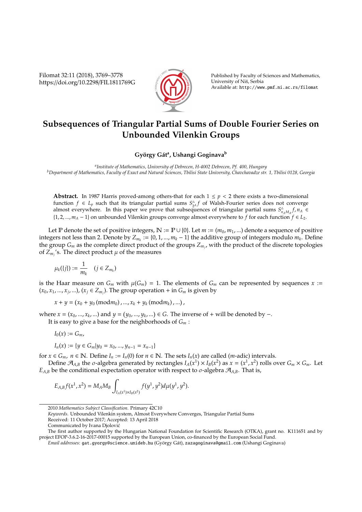Filomat 32:11 (2018), 3769–3778 https://doi.org/10.2298/FIL1811769G



Published by Faculty of Sciences and Mathematics, University of Niš, Serbia Available at: http://www.pmf.ni.ac.rs/filomat

## **Subsequences of Triangular Partial Sums of Double Fourier Series on Unbounded Vilenkin Groups**

 $G$ yörgy Gát<sup>a</sup>, Ushangi Goginava<sup>b</sup>

*a Institute of Mathematics, University of Debrecen, H-4002 Debrecen, Pf. 400, Hungary <sup>b</sup>Department of Mathematics, Faculty of Exact and Natural Sciences, Tbilisi State University, Chavchavadze str. 1, Tbilisi 0128, Georgia*

**Abstract.** In 1987 Harris proved-among others-that for each  $1 \leq p < 2$  there exists a two-dimensional function  $f \in L_p$  such that its triangular partial sums  $S_{2A}^{\triangle} f$  of Walsh-Fourier series does not converge almost everywhere. In this paper we prove that subsequences of triangular partial sums  $S_{n_A M_A}^{\Delta} f$ ,  $n_A \in$ {1, 2, ..., *m<sup>A</sup>* − 1} on unbounded Vilenkin groups converge almost everywhere to *f* for each function *f* ∈ *L*2.

Let P denote the set of positive integers,  $\mathbb{N} := \mathbb{P} \cup \{0\}$ . Let  $m := (m_0, m_1, ...)$  denote a sequence of positive integers not less than 2. Denote by  $Z_{m_k} := \{0, 1, ..., m_k - 1\}$  the additive group of integers modulo  $m_k$ . Define the group *G<sup>m</sup>* as the complete direct product of the groups *Zm<sup>j</sup>* , with the product of the discrete topologies of  $Z_{m_j}$ 's. The direct product  $\mu$  of the measures

$$
\mu_k(\{j\}):=\frac{1}{m_k}\quad (j\in Z_{m_k})
$$

is the Haar measure on  $G_m$  with  $\mu(G_m) = 1$ . The elements of  $G_m$  can be represented by sequences  $x :=$  $(x_0, x_1, ..., x_j, ...)$ ,  $(x_j \in Z_{m_j})$ . The group operation + in  $G_m$  is given by

 $x + y = (x_0 + y_0 \text{ (mod} m_0), ..., x_k + y_k \text{ (mod} m_k), ...)$ 

*where x* = ( $x_0$ , ...,  $x_k$ , ...) and  $y = (y_0, ..., y_k, ...)$  ∈ *G*. The inverse of + will be denoted by -.

It is easy to give a base for the neighborhoods of *G<sup>m</sup>* :

$$
I_0(x):=G_m,
$$

$$
I_n(x) := \{ y \in G_m | y_0 = x_0, ..., y_{n-1} = x_{n-1} \}
$$

for  $x \in G_m$ ,  $n \in \mathbb{N}$ . Define  $I_n := I_n(0)$  for  $n \in \mathbb{N}$ . The sets  $I_n(x)$  are called (*m*-adic) intervals.

Define  $\mathcal{A}_{A,B}$  the  $\sigma$ -algebra generated by rectangles  $I_A(x^1) \times I_B(x^2)$  as  $x = (x^1, x^2)$  rolls over  $G_m \times G_m$ . Let  $E_{A,B}$  be the conditional expectation operator with respect to  $\sigma$ -algebra  $\mathcal{A}_{A,B}$ . That is,

$$
E_{A,B}f(x^1,x^2) = M_A M_B \int_{I_A(x^1) \times I_B(x^2)} f(y^1,y^2) d\mu(y^1,y^2).
$$

*Keywords*. Unbounded Vilenkin system, Almost Everywhere Converges, Triangular Partial Sums

<sup>2010</sup> *Mathematics Subject Classification*. Primary 42C10

Received: 11 October 2017; Accepted: 13 April 2018

Communicated by Ivana Djolovic´

The first author supported by the Hungarian National Foundation for Scientific Research (OTKA), grant no. K111651 and by project EFOP-3.6.2-16-2017-00015 supported by the European Union, co-financed by the European Social Fund.

*Email addresses:* gat.gyorgy@science.unideb.hu (György Gát), zazagoginava@gmail.com (Ushangi Goginava)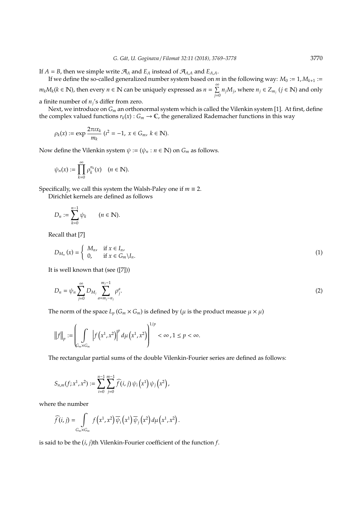If  $A = B$ , then we simple write  $A_A$  and  $E_A$  instead of  $A_{A,A}$  and  $E_{A,A}$ .

If we define the so-called generalized number system based on *m* in the following way:  $M_0 := 1, M_{k+1} :=$  $m_k M_k (k \in \mathbb{N})$ , then every  $n \in \mathbb{N}$  can be uniquely expressed as  $n = \sum_{k=1}^{\infty}$  $\sum_{j=0}^{n} n_j M_j$ , where  $n_j \in Z_{m_j}$   $(j \in \mathbb{N})$  and only

a finite number of  $n_j$ 's differ from zero.

Next, we introduce on *G<sup>m</sup>* an orthonormal system which is called the Vilenkin system [1]. At first, define the complex valued functions  $r_k(x): G_m \to \mathbb{C}$ , the generalized Rademacher functions in this way

$$
\rho_k(x) := \exp \frac{2\pi i x_k}{m_k} \ (t^2 = -1, \ x \in G_m, \ k \in \mathbb{N}).
$$

Now define the Vilenkin system  $\psi := (\psi_n : n \in \mathbb{N})$  on  $G_m$  as follows.

$$
\psi_n(x) := \prod_{k=0}^{\infty} \rho_k^{n_k}(x) \quad (n \in \mathbb{N}).
$$

Specifically, we call this system the Walsh-Paley one if  $m \equiv 2$ .

Dirichlet kernels are defined as follows

$$
D_n:=\sum_{k=0}^{n-1}\psi_k\qquad(n\in\mathbb{N}).
$$

Recall that [7]

$$
D_{M_n}(x) = \begin{cases} M_n, & \text{if } x \in I_n, \\ 0, & \text{if } x \in G_m \backslash I_n. \end{cases}
$$
 (1)

It is well known that (see ([7]))

$$
D_n = \psi_n \sum_{j=0}^{\infty} D_{M_j} \sum_{a=m_j-n_j}^{m_j-1} \rho_j^a.
$$
 (2)

The norm of the space  $L_p(G_m \times G_m)$  is defined by ( $\mu$  is the product measue  $\mu \times \mu$ )

$$
||f||_{p} := \left(\int_{C_{m} \times G_{m}} \left| f(x^{1}, x^{2}) \right|^{p} d\mu(x^{1}, x^{2}) \right)^{1/p} < \infty, 1 \leq p < \infty.
$$

The rectangular partial sums of the double Vilenkin-Fourier series are defined as follows:

$$
S_{n,m}(f;x^{1},x^{2}):=\sum_{i=0}^{n-1}\sum_{j=0}^{m-1}\widehat{f}(i,j)\,\psi_{i}\left(x^{1}\right)\psi_{j}\left(x^{2}\right),
$$

where the number

$$
\widehat{f}(i,j) = \int\limits_{G_m \times G_m} f\left(x^1,x^2\right) \overline{\psi}_i\left(x^1\right) \overline{\psi}_j\left(x^2\right) d\mu\left(x^1,x^2\right).
$$

is said to be the  $(i, j)$ th Vilenkin-Fourier coefficient of the function  $f$ .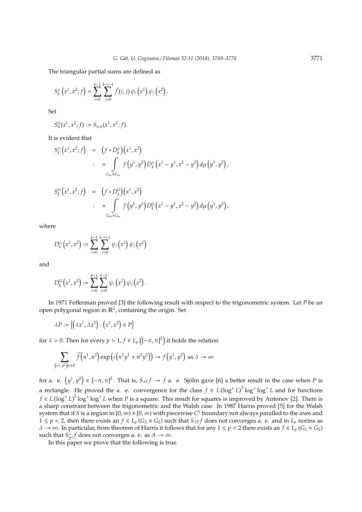The triangular partial sums are defined as

$$
S_k^{\triangle} (x^1, x^2; f) = \sum_{i=0}^{k-1} \sum_{j=0}^{k-i-1} f(i, j) \psi_i (x^1) \psi_j (x^2).
$$

Set

 $S_n^{\square}$  $S_{n,n}(x^1, x^2; f) := S_{n,n}(x^1, x^2; f).$ 

It is evident that

$$
S_k^{\triangle} (x^1, x^2; f) = (f * D_k^{\triangle}) (x^1, x^2)
$$
  

$$
= \int_{G_m \times G_m} f(y^1, y^2) D_k^{\triangle} (x^1 - y^1, x^2 - y^2) d\mu (y^1, y^2),
$$

$$
S_k^{\square}(x^1,x^2;f) = (f * D_k^{\square})(x^1,x^2)
$$
  

$$
= \int_{G_m \times G_m} f(y^1,y^2) D_k^{\square}(x^1 - y^1,x^2 - y^2) d\mu(y^1,y^2),
$$

where

$$
D_k^{\scriptscriptstyle{\triangle}}\left(x^1,x^2\right):=\sum_{i=0}^{k-1}\sum_{j=0}^{k-i-1}\psi_i\left(x^1\right)\psi_j\left(x^2\right)
$$

and

$$
D_k^{\square} (x^1, x^2) := \sum_{i=0}^{k-1} \sum_{j=0}^{k-1} \psi_i (x^1) \psi_j (x^2).
$$

In 1971 Fefferman proved [3] the following result with respect to the trigonometric system. Let *P* be an open polygonal region in  $\mathbb{R}^2$ , containing the origin. Set

$$
\lambda P := \left\{ \left( \lambda x^1, \lambda x^2 \right) : \left( x^1, x^2 \right) \in P \right\}
$$

for  $\lambda > 0$ . Then for every  $p > 1$ ,  $f \in L_p\left([-\pi,\pi]^2\right)$  it holds the relation

$$
\sum_{(n^1,n^2)\in\lambda P}\widehat{f}(n^1,n^2)\exp\left(i\left(n^1y^1+n^2y^2\right)\right)\to f\left(y^1,y^2\right) \text{ as } \lambda\to\infty
$$

for a. e.  $(y^1, y^2) \in [-\pi, \pi]^2$ . That is,  $S_{\lambda P} f \to f$  a. e. Sjölin gave [6] a better result in the case when P is a rectangle. He proved the a. e. convergence for the class  $f \in L(\log^+ L)^3 \log^+ \log^+ L$  and for functions *f* ∈ *L*(log<sup>+</sup> *L*)<sup>2</sup> log<sup>+</sup> log<sup>+</sup> *L* when *P* is a square. This result for squares is improved by Antonov [2]. There is a sharp constrant between the trigonometric and the Walsh case. In 1987 Harris proved [5] for the Walsh system that if *S* is a region in [0, ∞)×[0, ∞) with piecewise *C* <sup>1</sup> boundary not always paralled to the axes and 1 ≤ *p* < 2, then there exists an *f* ∈ *L<sub>p</sub>* (*G*<sub>2</sub> × *G*<sub>2</sub>) such that *S*<sub>*AP*</sub>*f* does not converges a. e. and in *L<sub>p</sub>* norms as  $\lambda \to \infty$ . In particular, from theorem of Harris it follows that for any  $1 \le p < 2$  there exists an  $f \in L_p(G_2 \times G_2)$ such that  $S_{2A}^{\Delta} f$  does not converges a. e. as  $A \to \infty$ .

In this paper we prove that the following is true.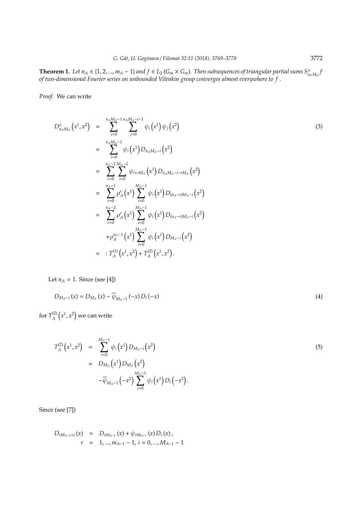**Theorem 1.** Let  $n_A \in \{1, 2, ..., m_A - 1\}$  and  $f \in L_2(G_m \times G_m)$ . Then subsequences of triangular partial sums  $S_{n_A M_A}^{\Delta}$ *of two-dimensional Fourier series on unbounded Vilenkin group converges almost everywhere to f* .

*Proof.* We can write

$$
D_{n_A M_A}^{\Delta} (x^1, x^2) = \sum_{i=0}^{n_A M_A - 1} \sum_{j=0}^{n_A M_A - i} \psi_i (x^1) \psi_j (x^2)
$$
\n
$$
= \sum_{i=0}^{n_A M_A - 1} \psi_i (x^1) D_{n_A M_A - i} (x^2)
$$
\n
$$
= \sum_{r=0}^{n_A - 1} \sum_{i=0}^{M_A - 1} \psi_{i+r M_A} (x^1) D_{n_A M_A - i-r M_A} (x^2)
$$
\n
$$
= \sum_{r=0}^{n_A - 1} \rho_A^r (x^1) \sum_{i=0}^{M_A - 1} \psi_i (x^1) D_{(n_A - r) M_A - i} (x^2)
$$
\n
$$
= \sum_{r=0}^{n_A - 2} \rho_A^r (x^1) \sum_{i=0}^{M_A - 1} \psi_i (x^1) D_{(n_A - r) M_A - i} (x^2)
$$
\n
$$
+ \rho_A^{n_A - 1} (x^1) \sum_{i=0}^{M_A - 1} \psi_i (x^1) D_{M_A - i} (x^2)
$$
\n
$$
= : T_A^{(1)} (x^1, x^2) + T_A^{(2)} (x^1, x^2).
$$
\n(3)

Let  $n_A = 1$ . Since (see [4])

$$
D_{M_A - i}(x) = D_{M_A}(x) - \overline{\psi}_{M_A - 1}(-x) D_i(-x)
$$
\n(4)

for  $T_A^{(2)}$  $\chi_A^{(2)}\left(x^1,x^2\right)$  we can write

$$
T_A^{(2)}(x^1, x^2) = \sum_{i=0}^{M_A-1} \psi_i(x^1) D_{M_A-i}(x^2)
$$
  
= 
$$
D_{M_A}(x^1) D_{M_A}(x^2)
$$

$$
-\overline{\psi}_{M_A-1}(-x^2) \sum_{i=0}^{M_A-1} \psi_i(x^1) D_i(-x^2).
$$
 (5)

Since (see [7])

$$
D_{rM_{A-1}+i}(x) = D_{rM_{A-1}}(x) + \psi_{rM_{A-1}}(x) D_i(x),
$$
  
\n
$$
r = 1,...,m_{A-1}-1, i = 0,...,M_{A-1}-1
$$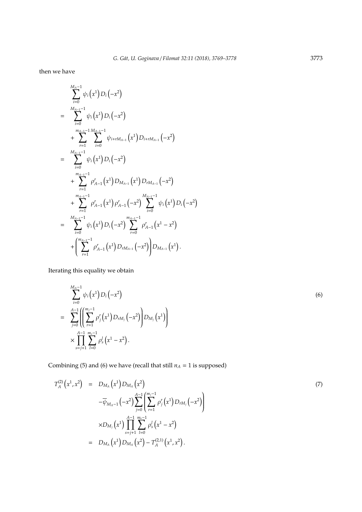then we have

$$
\sum_{i=0}^{M_{A-1}-1} \psi_i(x^1) D_i(-x^2)
$$
\n
$$
= \sum_{i=0}^{M_{A-1}-1} \psi_i(x^1) D_i(-x^2)
$$
\n
$$
+ \sum_{r=1}^{m_{A-1}-1} \sum_{i=0}^{M_{A-1}-1} \psi_{i+rM_{A-1}}(x^1) D_{i+rM_{A-1}}(-x^2)
$$
\n
$$
= \sum_{i=0}^{M_{A-1}-1} \psi_i(x^1) D_i(-x^2)
$$
\n
$$
+ \sum_{r=1}^{m_{A-1}-1} \rho_{A-1}^r(x^1) D_{M_{A-1}}(x^1) D_{rM_{A-1}}(-x^2)
$$
\n
$$
+ \sum_{r=1}^{m_{A-1}-1} \rho_{A-1}^r(x^1) \rho_{A-1}^r(-x^2) \sum_{i=0}^{M_{A-1}-1} \psi_i(x^1) D_i(-x^2)
$$
\n
$$
= \sum_{i=0}^{M_{A-1}-1} \psi_i(x^1) D_i(-x^2) \sum_{r=0}^{m_{A-1}-1} \rho_{A-1}^r(x^1 - x^2)
$$
\n
$$
+ \left(\sum_{r=1}^{m_{A-1}-1} \rho_{A-1}^r(x^1) D_{rM_{A-1}}(-x^2)\right) D_{M_{A-1}}(x^1).
$$

Iterating this equality we obtain

$$
\sum_{i=0}^{M_A-1} \psi_i(x^1) D_i(-x^2)
$$
\n
$$
= \sum_{j=0}^{A-1} \left( \left( \sum_{r=1}^{m_j-1} \rho_j^r(x^1) D_{rM_j}(-x^2) \right) D_{M_j}(x^1) \right)
$$
\n
$$
\times \prod_{s=j+1}^{A-1} \sum_{l=0}^{m_s-1} \rho_s^l(x^1 - x^2).
$$
\n(6)

Combining (5) and (6) we have (recall that still  $n_A = 1$  is supposed)

$$
T_A^{(2)}(x^1, x^2) = D_{M_A}(x^1) D_{M_A}(x^2)
$$
\n
$$
-\overline{\psi}_{M_A-1}(-x^2) \sum_{j=0}^{A-1} \left( \sum_{r=1}^{m_j-1} \rho_j^r(x^1) D_{rM_j}(-x^2) \right)
$$
\n
$$
\times D_{M_j}(x^1) \prod_{s=j+1}^{A-1} \sum_{l=0}^{m_s-1} \rho_s^l(x^1 - x^2)
$$
\n
$$
= D_{M_A}(x^1) D_{M_A}(x^2) - T_A^{(2,1)}(x^1, x^2).
$$
\n(7)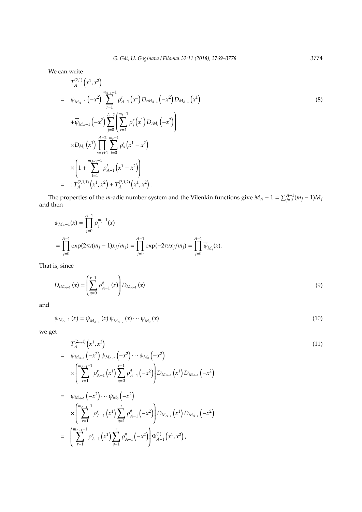We can write

$$
T_A^{(2,1)}(x^1, x^2)
$$
\n
$$
= \overline{\psi}_{M_A-1}(-x^2) \sum_{r=1}^{m_{A-1}-1} \rho_{A-1}^r(x^1) D_{rM_{A-1}}(-x^2) D_{M_{A-1}}(x^1)
$$
\n
$$
+ \overline{\psi}_{M_A-1}(-x^2) \sum_{j=0}^{A-2} \left( \sum_{r=1}^{m_j-1} \rho_j^r(x^1) D_{rM_j}(-x^2) \right)
$$
\n
$$
\times D_{M_j}(x^1) \prod_{s=j+1}^{A-2} \sum_{l=0}^{m_s-1} \rho_s^l(x^1 - x^2)
$$
\n
$$
\times \left( 1 + \sum_{l=1}^{m_{A-1}-1} \rho_{A-1}^l(x^1 - x^2) \right)
$$
\n
$$
= : T_A^{(2,1,1)}(x^1, x^2) + T_A^{(2,1,2)}(x^1, x^2).
$$
\n(8)

The properties of the *m*-adic number system and the Vilenkin functions give  $M_A - 1 = \sum_{j=0}^{A-1} (m_j - 1)M_j$ and then

$$
\psi_{M_A-1}(x) = \prod_{j=0}^{A-1} \rho_j^{m_j-1}(x)
$$
  
= 
$$
\prod_{j=0}^{A-1} \exp(2\pi i (m_j - 1)x_j/m_j) = \prod_{j=0}^{A-1} \exp(-2\pi i x_j/m_j) = \prod_{j=0}^{A-1} \overline{\psi}_{M_j}(x).
$$

That is, since

$$
D_{rM_{A-1}}(x) = \left(\sum_{q=0}^{r-1} \rho_{A-1}^q(x)\right) D_{M_{A-1}}(x) \tag{9}
$$

and

$$
\psi_{M_A-1}(x) = \overline{\psi}_{M_{A-1}}(x) \overline{\psi}_{M_{A-2}}(x) \cdots \overline{\psi}_{M_0}(x)
$$
\n(10)

we get

$$
T_A^{(2,1,1)}(x^1, x^2)
$$
\n
$$
= \psi_{M_{A-1}}(-x^2)\psi_{M_{A-2}}(-x^2)\cdots\psi_{M_0}(-x^2)
$$
\n
$$
\times \left(\sum_{r=1}^{m_{A-1}-1} \rho_{A-1}^r(x^1) \sum_{q=0}^{r-1} \rho_{A-1}^q(-x^2)\right) D_{M_{A-1}}(x^1) D_{M_{A-1}}(-x^2)
$$
\n
$$
= \psi_{M_{A-2}}(-x^2)\cdots\psi_{M_0}(-x^2)
$$
\n
$$
\times \left(\sum_{r=1}^{m_{A-1}-1} \rho_{A-1}^r(x^1) \sum_{q=1}^r \rho_{A-1}^q(-x^2)\right) D_{M_{A-1}}(x^1) D_{M_{A-1}}(-x^2)
$$
\n
$$
= \left(\sum_{r=1}^{m_{A-1}-1} \rho_{A-1}^r(x^1) \sum_{q=1}^r \rho_{A-1}^q(-x^2)\right) \Phi_{A-1}^{(1)}(x^1, x^2),
$$
\n(11)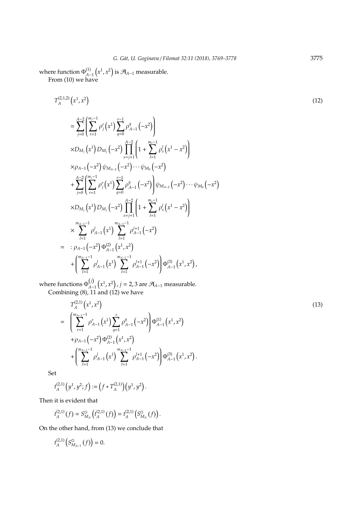where function  $\Phi_{A-1}^{(1)}(x^1,x^2)$  is  $\mathcal{A}_{A-1}$  measurable. From (10) we have

$$
T_A^{(2,1,2)}(x^1, x^2)
$$
\n
$$
= \sum_{j=0}^{A-2} \left( \sum_{r=1}^{m_j-1} \rho_j^r(x^1) \sum_{q=0}^{r-1} \rho_{A-1}^q(-x^2) \right)
$$
\n
$$
\times D_{M_j}(x^1) D_{M_j}(-x^2) \prod_{s=j+1}^{A-2} \left( 1 + \sum_{l=1}^{m_s-1} \rho_s^l(x^1 - x^2) \right)
$$
\n
$$
\times \rho_{A-1}(-x^2) \psi_{M_{A-2}}(-x^2) \cdots \psi_{M_0}(-x^2)
$$
\n
$$
+ \sum_{j=0}^{A-2} \left( \sum_{r=1}^{m_j-1} \rho_j^r(x^1) \sum_{q=0}^{r-1} \rho_{A-1}^q(-x^2) \right) \psi_{M_{A-2}}(-x^2) \cdots \psi_{M_0}(-x^2)
$$
\n
$$
\times D_{M_j}(x^1) D_{M_j}(-x^2) \prod_{s=j+1}^{A-2} \left( 1 + \sum_{l=1}^{m_s-1} \rho_s^l(x^1 - x^2) \right)
$$
\n
$$
\times \sum_{l=1}^{m_{A-1}-1} \rho_{A-1}^l(x^1) \sum_{l=1}^{m_{A-1}-1} \rho_{A-1}^{l+1}(-x^2)
$$
\n
$$
= \sum_{l=1}^{m_{A-1}-1} \rho_{A-1}^l(x^1) \sum_{l=1}^{m_{A-1}-1} \rho_{A-1}^{l+1}(-x^2)
$$
\n
$$
+ \left( \sum_{l=1}^{m_{A-1}-1} \rho_{A-1}^l(x^1) \sum_{l=1}^{m_{A-1}-1} \rho_{A-1}^{l+1}(-x^2) \right) \Phi_{A-1}^{(3)}(x^1, x^2),
$$
\nwhere functions  $\Phi_{ij}^{(j)}$ ,  $(x^1, x^2)$ ,  $j = 2, 3$  are  $\mathcal{A}_{A-1}$  measurable.

where functions  $\Phi_{A-1}^{(j)}(x^1,x^2), j = 2,3$  are  $\mathcal{A}_{A-1}$  measurable. Combining (8), 11 and (12) we have

$$
T_A^{(2,1)}(x^1, x^2)
$$
\n
$$
= \left( \sum_{r=1}^{m_{A-1}-1} \rho_{A-1}^r(x^1) \sum_{q=1}^r \rho_{A-1}^q(-x^2) \rho_{A-1}^{(1)}(x^1, x^2) + \rho_{A-1}(-x^2) \Phi_{A-1}^{(2)}(x^1, x^2) + \left( \sum_{l=1}^{m_{A-1}-1} \rho_{A-1}^l(x^1) \sum_{l=1}^{m_{A-1}-1} \rho_{A-1}^{l+1}(-x^2) \right) \Phi_{A-1}^{(3)}(x^1, x^2).
$$
\n
$$
(13)
$$

Set

$$
t_A^{(2,1)}(y^1, y^2; f) := (f * T_A^{(2,1)})(y^1, y^2).
$$

Then it is evident that

$$
t_A^{(2,1)}(f) = S_{M_A}^{\square} (t_A^{(2,1)}(f)) = t_A^{(2,1)} (S_{M_A}^{\square}(f)).
$$

On the other hand, from (13) we conclude that

$$
t_A^{(2,1)}\left(S_{M_{A-1}}^{\square}(f)\right)=0.
$$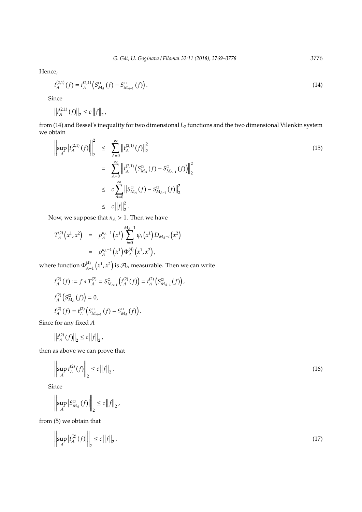Hence,

$$
t_A^{(2,1)}(f) = t_A^{(2,1)}\left(S_{M_A}^{\square}(f) - S_{M_{A-1}}^{\square}(f)\right). \tag{14}
$$

Since

$$
\left\|t_A^{(2,1)}(f)\right\|_2 \le c \left\|f\right\|_2,
$$

from (14) and Bessel's inequality for two dimensional *L*<sup>2</sup> functions and the two dimensional Vilenkin system we obtain

$$
\left\| \sup_{A} \left| t_A^{(2,1)}(f) \right| \right\|_{2}^{2} \leq \sum_{A=0}^{\infty} \left\| t_A^{(2,1)}(f) \right\|_{2}^{2}
$$
\n
$$
= \sum_{A=0}^{\infty} \left\| t_A^{(2,1)} \left( S_{M_A}^{\square}(f) - S_{M_{A-1}}^{\square}(f) \right) \right\|_{2}^{2}
$$
\n
$$
\leq c \sum_{A=0}^{\infty} \left\| S_{M_A}^{\square}(f) - S_{M_{A-1}}^{\square}(f) \right\|_{2}^{2}
$$
\n
$$
\leq c \left\| f \right\|_{2}^{2}.
$$
\n(15)

Now, we suppose that  $n_A > 1$ . Then we have

$$
T_A^{(2)}(x^1,x^2) = \rho_A^{n_A-1}(x^1) \sum_{i=0}^{M_A-1} \psi_i(x^1) D_{M_A-i}(x^2)
$$
  
=  $\rho_A^{n_A-1}(x^1) \Phi_A^{(4)}(x^1,x^2),$ 

where function  $\Phi_{A-1}^{(4)}\left(x^1,x^2\right)$  is  $\mathcal{A}_A$  measurable. Then we can write

$$
t_A^{(2)}(f) := f * T_A^{(2)} = S_{M_{A+1}}^{\square} (t_A^{(2)}(f)) = t_A^{(2)} (S_{M_{A+1}}^{\square}(f)),
$$
  

$$
t_A^{(2)}(S_{M_A}^{\square}(f)) = 0,
$$
  

$$
t_A^{(2)}(f) = t_A^{(2)}(S_{M_{A+1}}^{\square}(f) - S_{M_A}^{\square}(f)).
$$

Since for any fixed *A*

$$
\left\|t^{(2)}_A(f)\right\|_2 \leq c \left\|f\right\|_2,
$$

then as above we can prove that

$$
\left\| \sup_{A} t_A^{(2)}(f) \right\|_2 \le c \left\| f \right\|_2.
$$
 (16)

Since

$$
\left\|\sup_{A}\left|S_{M_A}^{\square}(f)\right|\right\|_2 \leq c\left\|f\right\|_2,
$$

from (5) we obtain that

$$
\left\| \sup_{A} \left| t_A^{(2)}(f) \right| \right\|_2 \le c \left\| f \right\|_2. \tag{17}
$$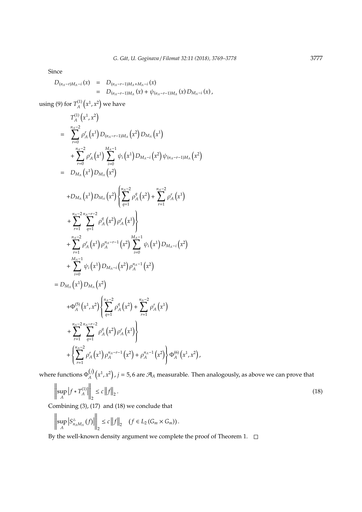Since

$$
D_{(n_A-r)M_A-i}(x) = D_{(n_A-r-1)M_A+M_A-i}(x) = D_{(n_A-r-1)M_A}(x) + \psi_{(n_A-r-1)M_A}(x) D_{M_A-i}(x),
$$

using (9) for  $T_A^{(1)}$  $\chi_A^{(1)}\left(x^1,x^2\right)$  we have

$$
T_{A}^{(1)}(x^{1},x^{2})
$$
\n
$$
= \sum_{r=0}^{n_{A}-2} \rho_{A}^{r}(x^{1}) D_{(n_{A}-r-1)M_{A}}(x^{2}) D_{M_{A}}(x^{1})
$$
\n
$$
+ \sum_{r=0}^{n_{A}-2} \rho_{A}^{r}(x^{1}) \sum_{i=0}^{M_{A}-1} \psi_{i}(x^{1}) D_{M_{A}-i}(x^{2}) \psi_{(n_{A}-r-1)M_{A}}(x^{2})
$$
\n
$$
= D_{M_{A}}(x^{1}) D_{M_{A}}(x^{2})
$$
\n
$$
+ D_{M_{A}}(x^{1}) D_{M_{A}}(x^{2}) \left\{ \sum_{q=1}^{n_{A}-2} \rho_{A}^{q}(x^{2}) + \sum_{r=1}^{n_{A}-2} \rho_{A}^{r}(x^{1}) + \sum_{r=1}^{n_{A}-2} \sum_{q=1}^{n_{A}-r-2} \rho_{A}^{q}(x^{2}) \rho_{A}^{r}(x^{1}) \right\}
$$
\n
$$
+ \sum_{r=1}^{n_{A}-2} \sum_{q=1}^{n_{A}-r-2} \rho_{A}^{q}(x^{1}) \rho_{A}^{n_{A}-r-1}(x^{2}) \sum_{i=0}^{M_{A}-1} \psi_{i}(x^{1}) D_{M_{A}-i}(x^{2})
$$
\n
$$
+ \sum_{i=0}^{M_{A}-1} \psi_{i}(x^{1}) D_{M_{A}-i}(x^{2}) \rho_{A}^{n_{A}-1}(x^{2})
$$
\n
$$
= D_{M_{A}}(x^{1}) D_{M_{A}}(x^{2})
$$
\n
$$
+ \Phi_{A}^{(5)}(x^{1},x^{2}) \left\{ \sum_{q=1}^{n_{A}-2} \rho_{A}^{q}(x^{2}) + \sum_{r=1}^{n_{A}-2} \rho_{A}^{r}(x^{1}) + \sum_{r=1}^{n_{A}-2} \sum_{q=1}^{n_{A}-r-2} \rho_{A}^{q}(x^{2}) \rho_{A}^{r}(x^{1}) \right\}
$$
\n
$$
+ \left\{ \sum_{r=1}^{n_{A}-2} \rho_{A}^{r}(x^{1}) \rho_{A}^{n_{A}-r-1}(
$$

where functions  $\Phi_A^{(j)}$  $A^{(j)}(x^1, x^2)$  ,  $j = 5$ , 6 are  $\mathcal{A}_A$  measurable. Then analogously, as above we can prove that

$$
\left\| \sup_{A} \left| f * T_A^{(1)} \right| \right\|_2 \le c \left\| f \right\|_2.
$$
\n(18)

Combining (3), (17) and (18) we conclude that

$$
\left\|\sup_{A}\left|S_{n_{A}M_{A}}^{\triangle}(f)\right|\right\|_{2} \leq c\left\|f\right\|_{2} \quad (f \in L_{2}(G_{m} \times G_{m})) .
$$

By the well-known density argument we complete the proof of Theorem 1.  $\Box$